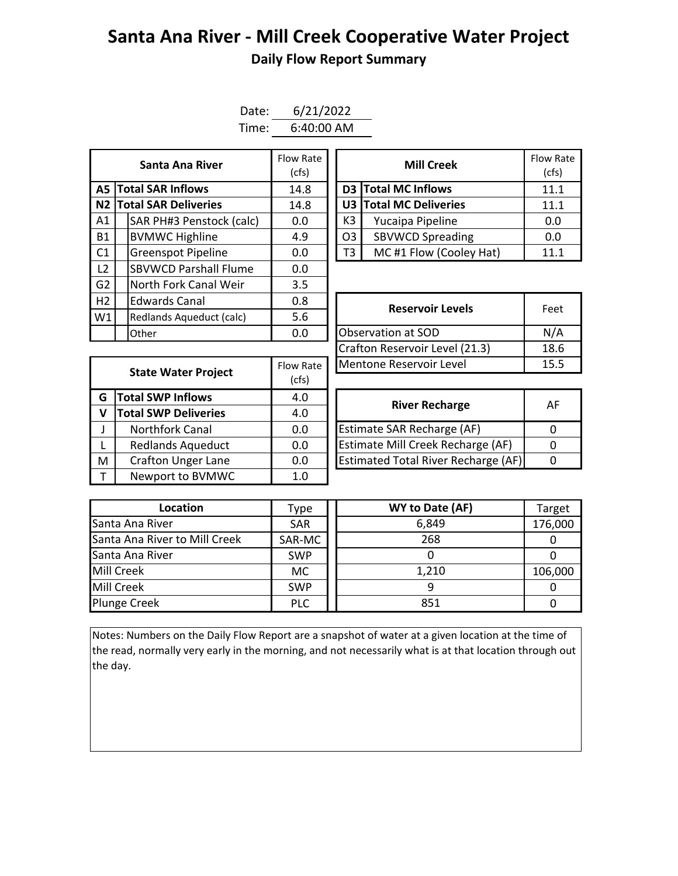## **Santa Ana River - Mill Creek Cooperative Water Project Daily Flow Report Summary**

| Date: | 6/21/2022  |
|-------|------------|
| Time: | 6:40:00 AM |

|                | Santa Ana River              | Flow Rate<br>(cfs) | <b>Mill Creek</b>  |                |                            | Flow Ra<br>(cfs) |
|----------------|------------------------------|--------------------|--------------------|----------------|----------------------------|------------------|
|                | <b>A5 Total SAR Inflows</b>  | 14.8               |                    |                | <b>D3</b> Total MC Inflows | 11.1             |
|                | N2 Total SAR Deliveries      | 14.8               |                    |                | U3 Total MC Deliveries     | 11.1             |
| A1             | SAR PH#3 Penstock (calc)     | 0.0                |                    | K3             | Yucaipa Pipeline           | 0.0              |
| <b>B1</b>      | <b>BVMWC Highline</b>        | 4.9                |                    | O <sub>3</sub> | <b>SBVWCD Spreading</b>    | 0.0              |
| C <sub>1</sub> | <b>Greenspot Pipeline</b>    | 0.0                |                    | T3             | MC#1 Flow (Cooley Hat)     | 11.1             |
| L <sub>2</sub> | <b>SBVWCD Parshall Flume</b> | 0.0                |                    |                |                            |                  |
| G2             | North Fork Canal Weir        | 3.5                |                    |                |                            |                  |
| H2             | <b>Edwards Canal</b>         | 0.8                |                    |                | <b>Reservoir Levels</b>    | Feet             |
| W1             | Redlands Aqueduct (calc)     | 5.6                |                    |                |                            |                  |
|                | Other                        | 0.0                | Observation at SOD |                | N/A                        |                  |

| Santa Ana River         | Flow Rate<br>(cfs) |                        | <b>Mill Creek</b>       | <b>Flow Rate</b><br>(cfs) |
|-------------------------|--------------------|------------------------|-------------------------|---------------------------|
| <b>I SAR Inflows</b>    | 14.8               |                        | D3 Total MC Inflows     | 11.1                      |
| <b>I SAR Deliveries</b> | 14.8               | U3 Total MC Deliveries |                         | 11.1                      |
| AR PH#3 Penstock (calc) | 0.0                | K3                     | Yucaipa Pipeline        |                           |
| /MWC Highline           | 4.9                | O <sub>3</sub>         | <b>SBVWCD Spreading</b> | 0.0                       |
| reenspot Pipeline       | 0.0                | T3                     | MC#1 Flow (Cooley Hat)  | 11.1                      |

| <b>Edwards Canal</b><br>0.8     |           | <b>Reservoir Levels</b>        | Feet |  |
|---------------------------------|-----------|--------------------------------|------|--|
| 5.6<br>Redlands Aqueduct (calc) |           |                                |      |  |
| 0.0<br>Other                    |           | Observation at SOD             | N/A  |  |
|                                 |           | Crafton Reservoir Level (21.3) | 18.6 |  |
| <b>State Water Project</b>      | Flow Rate | Mentone Reservoir Level        | 15.5 |  |
|                                 |           |                                |      |  |

|   | <b>State Water Project</b>  | Flow Rate | Mentone Reservoir Level                    |          |  |  |  |
|---|-----------------------------|-----------|--------------------------------------------|----------|--|--|--|
|   |                             | (cfs)     |                                            |          |  |  |  |
| G | <b>Total SWP Inflows</b>    | 4.0       | <b>River Recharge</b>                      | A        |  |  |  |
| v | <b>Total SWP Deliveries</b> | 4.0       |                                            |          |  |  |  |
|   | <b>Northfork Canal</b>      | 0.0       | Estimate SAR Recharge (AF)                 | $\Omega$ |  |  |  |
|   | <b>Redlands Aqueduct</b>    | 0.0       | <b>Estimate Mill Creek Recharge (AF)</b>   | $\Omega$ |  |  |  |
| M | <b>Crafton Unger Lane</b>   | 0.0       | <b>Estimated Total River Recharge (AF)</b> | 0        |  |  |  |
|   | Newport to BVMWC            | 1.0       |                                            |          |  |  |  |
|   |                             |           |                                            |          |  |  |  |

| <b>River Recharge</b>                      | AF |
|--------------------------------------------|----|
| Estimate SAR Recharge (AF)                 |    |
| Estimate Mill Creek Recharge (AF)          |    |
| <b>Estimated Total River Recharge (AF)</b> |    |

| Location                      | Type       | WY to Date (AF) | Target  |
|-------------------------------|------------|-----------------|---------|
| Santa Ana River               | <b>SAR</b> | 6,849           | 176,000 |
| Santa Ana River to Mill Creek | SAR-MC     | 268             |         |
| Santa Ana River               | <b>SWP</b> |                 |         |
| Mill Creek                    | МC         | 1,210           | 106,000 |
| Mill Creek                    | <b>SWP</b> |                 |         |
| <b>Plunge Creek</b>           | <b>PLC</b> | 851             |         |

Notes: Numbers on the Daily Flow Report are a snapshot of water at a given location at the time of the read, normally very early in the morning, and not necessarily what is at that location through out the day.